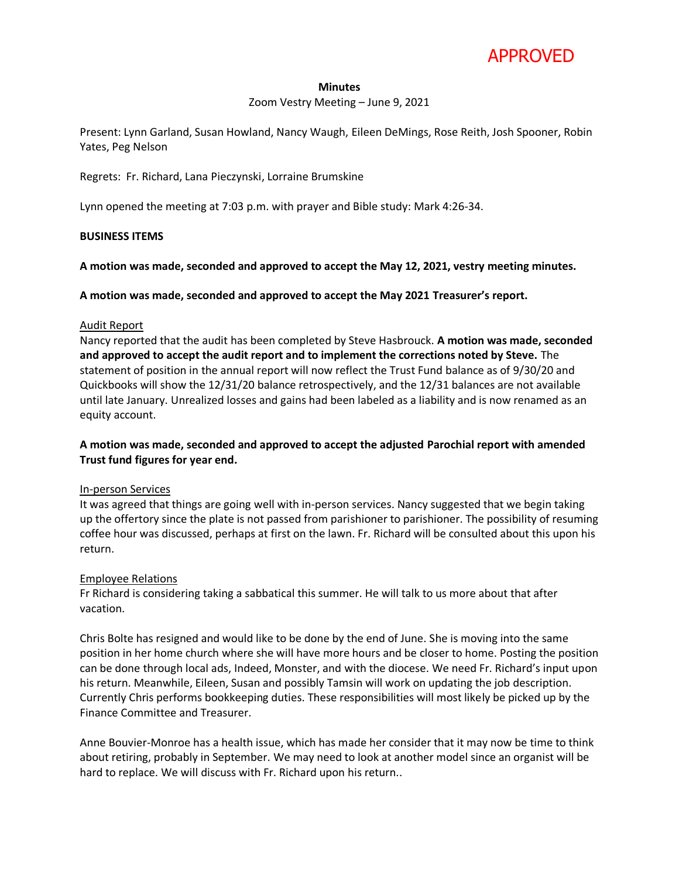

#### **Minutes**

Zoom Vestry Meeting – June 9, 2021

Present: Lynn Garland, Susan Howland, Nancy Waugh, Eileen DeMings, Rose Reith, Josh Spooner, Robin Yates, Peg Nelson

Regrets: Fr. Richard, Lana Pieczynski, Lorraine Brumskine

Lynn opened the meeting at 7:03 p.m. with prayer and Bible study: Mark 4:26-34.

#### **BUSINESS ITEMS**

**A motion was made, seconded and approved to accept the May 12, 2021, vestry meeting minutes.**

**A motion was made, seconded and approved to accept the May 2021 Treasurer's report.**

# Audit Report

Nancy reported that the audit has been completed by Steve Hasbrouck. **A motion was made, seconded and approved to accept the audit report and to implement the corrections noted by Steve.** The statement of position in the annual report will now reflect the Trust Fund balance as of 9/30/20 and Quickbooks will show the 12/31/20 balance retrospectively, and the 12/31 balances are not available until late January. Unrealized losses and gains had been labeled as a liability and is now renamed as an equity account.

# **A motion was made, seconded and approved to accept the adjusted Parochial report with amended Trust fund figures for year end.**

#### In-person Services

It was agreed that things are going well with in-person services. Nancy suggested that we begin taking up the offertory since the plate is not passed from parishioner to parishioner. The possibility of resuming coffee hour was discussed, perhaps at first on the lawn. Fr. Richard will be consulted about this upon his return.

# Employee Relations

Fr Richard is considering taking a sabbatical this summer. He will talk to us more about that after vacation.

Chris Bolte has resigned and would like to be done by the end of June. She is moving into the same position in her home church where she will have more hours and be closer to home. Posting the position can be done through local ads, Indeed, Monster, and with the diocese. We need Fr. Richard's input upon his return. Meanwhile, Eileen, Susan and possibly Tamsin will work on updating the job description. Currently Chris performs bookkeeping duties. These responsibilities will most likely be picked up by the Finance Committee and Treasurer.

Anne Bouvier-Monroe has a health issue, which has made her consider that it may now be time to think about retiring, probably in September. We may need to look at another model since an organist will be hard to replace. We will discuss with Fr. Richard upon his return..